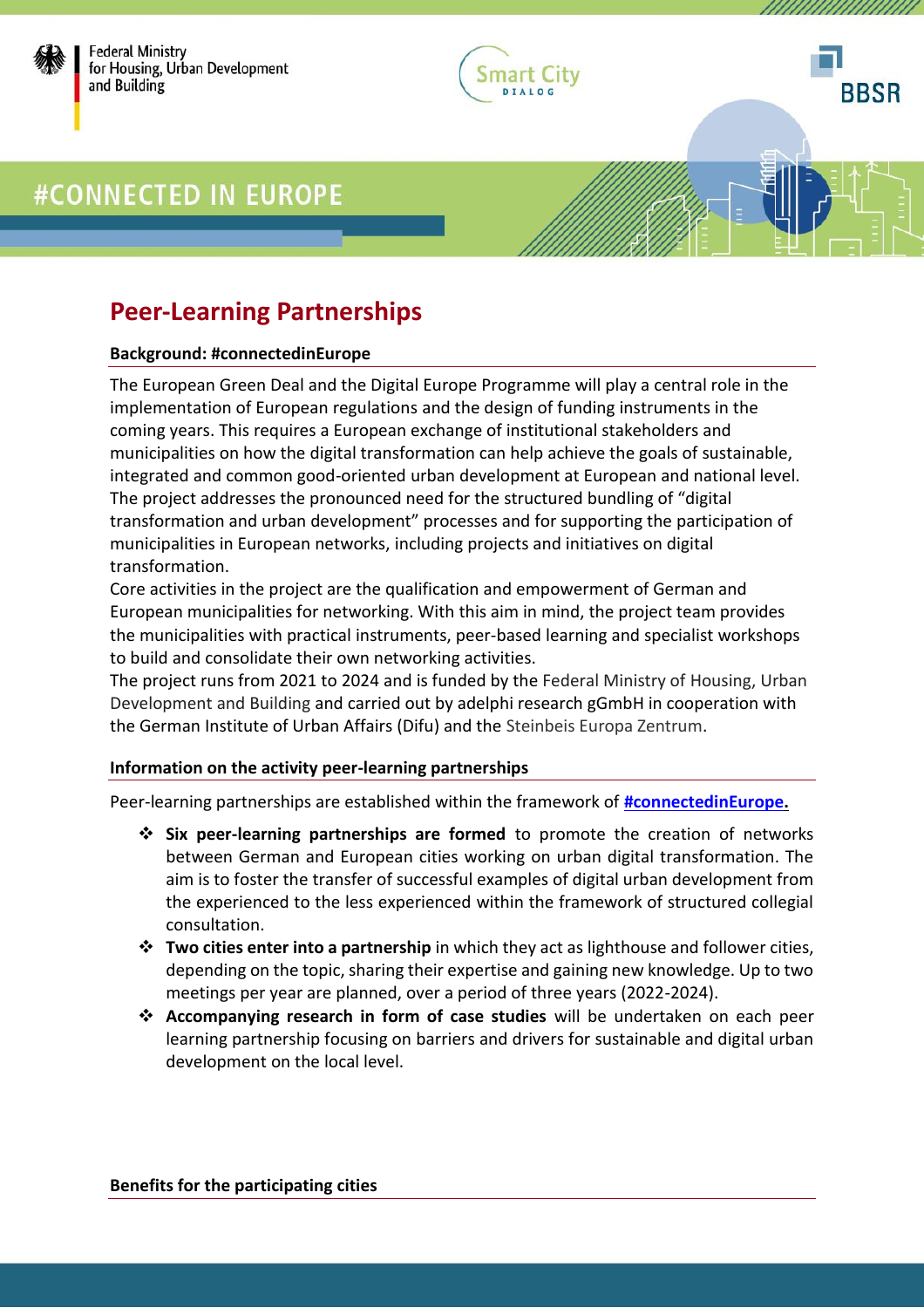

Federal Ministry for Housing, Urban Development and Building



*UMMUMMUM* 

# #CONNECTED IN EUROPE

### **Peer-Learning Partnerships**

#### **Background: #connectedinEurope**

The European Green Deal and the Digital Europe Programme will play a central role in the implementation of European regulations and the design of funding instruments in the coming years. This requires a European exchange of institutional stakeholders and municipalities on how the digital transformation can help achieve the goals of sustainable, integrated and common good-oriented urban development at European and national level. The project addresses the pronounced need for the structured bundling of "digital transformation and urban development" processes and for supporting the participation of municipalities in European networks, including projects and initiatives on digital transformation.

Core activities in the project are the qualification and empowerment of German and European municipalities for networking. With this aim in mind, the project team provides the municipalities with practical instruments, peer-based learning and specialist workshops to build and consolidate their own networking activities.

The project runs from 2021 to 2024 and is funded by the Federal Ministry of Housing, Urban Development and Building and carried out by adelphi research gGmbH in cooperation with the German Institute of Urban Affairs (Difu) and the Steinbeis Europa Zentrum.

### **Information on the activity peer-learning partnerships**

Peer-learning partnerships are established within the framework of **[#connectedinEurope.](https://www.smart-city-dialog.de/en/europe-2)**

- ❖ **Six peer-learning partnerships are formed** to promote the creation of networks between German and European cities working on urban digital transformation. The aim is to foster the transfer of successful examples of digital urban development from the experienced to the less experienced within the framework of structured collegial consultation.
- ❖ **Two cities enter into a partnership** in which they act as lighthouse and follower cities, depending on the topic, sharing their expertise and gaining new knowledge. Up to two meetings per year are planned, over a period of three years (2022-2024).
- ❖ **Accompanying research in form of case studies** will be undertaken on each peer learning partnership focusing on barriers and drivers for sustainable and digital urban development on the local level.